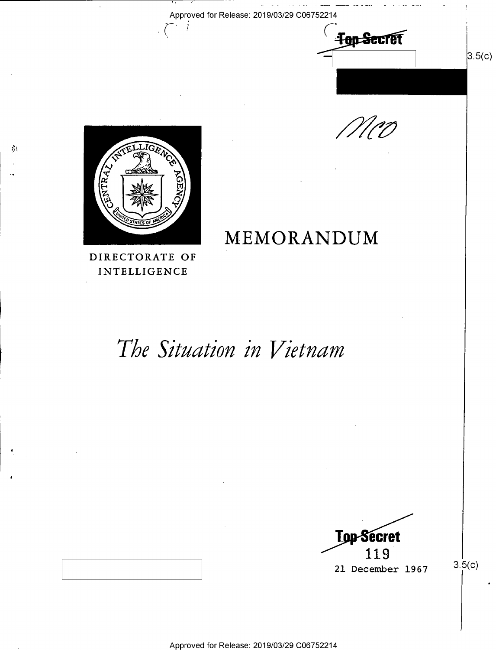



MEMORANDUM



 $\mathcal{E}_\mathcal{X}$  )

 $\sum_{i=1}^{n}$ 

 $\sqrt{ }$ 

DIRECTORATE OF INTELLIGENCE

# The Situation in Vietnam

**Top-Secret** 119 21 December 1967

 $3.5(c)$ 

 $3.5(c)$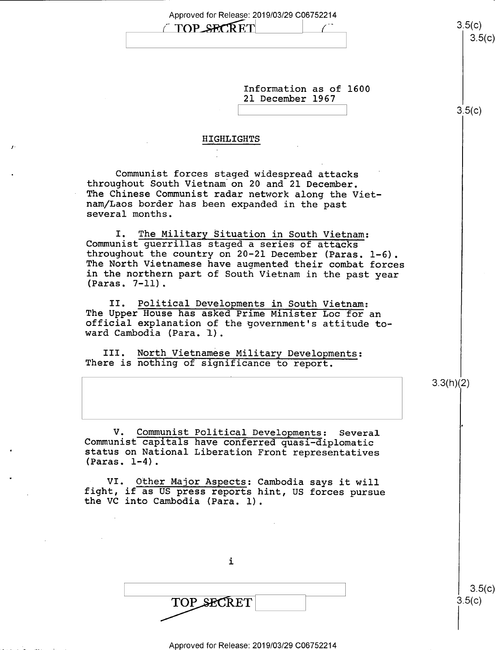| TOP SECRET<br>Information as of 1600<br>21 December 1967<br>HIGHLIGHTS<br>Communist forces staged widespread attacks<br>throughout South Vietnam on 20 and 21 December.                                                                                                                           | 3.5(c)<br>3.5(c)<br>3.5(c) |
|---------------------------------------------------------------------------------------------------------------------------------------------------------------------------------------------------------------------------------------------------------------------------------------------------|----------------------------|
|                                                                                                                                                                                                                                                                                                   |                            |
|                                                                                                                                                                                                                                                                                                   |                            |
|                                                                                                                                                                                                                                                                                                   |                            |
|                                                                                                                                                                                                                                                                                                   |                            |
|                                                                                                                                                                                                                                                                                                   |                            |
|                                                                                                                                                                                                                                                                                                   |                            |
|                                                                                                                                                                                                                                                                                                   |                            |
| The Chinese Communist radar network along the Viet-<br>nam/Laos border has been expanded in the past<br>several months.                                                                                                                                                                           |                            |
| I. The Military Situation in South Vietnam:<br>Communist guerrillas staged a series of attacks<br>throughout the country on 20-21 December (Paras. 1-6).<br>The North Vietnamese have augmented their combat forces<br>in the northern part of South Vietnam in the past year<br>$(Paras. 7-11).$ |                            |
| Political Developments in South Vietnam:<br>II.<br>The Upper House has asked Prime Minister Loc for an<br>official explanation of the government's attitude to-<br>ward Cambodia (Para. 1).                                                                                                       |                            |
| III. North Vietnamese Military Developments:<br>There is nothing of significance to report.                                                                                                                                                                                                       |                            |
|                                                                                                                                                                                                                                                                                                   | 3.3(h)(2)                  |
|                                                                                                                                                                                                                                                                                                   |                            |
|                                                                                                                                                                                                                                                                                                   |                            |
| $V_{\bullet}$<br>Communist Political Developments: Several<br>Communist capitals have conferred quasi-diplomatic<br>status on National Liberation Front representatives<br>$(Paras. 1-4).$                                                                                                        |                            |
| VI. Other Major Aspects: Cambodia says it will<br>fight, if as US press reports hint, US forces pursue<br>the VC into Cambodia (Para. 1).                                                                                                                                                         |                            |
|                                                                                                                                                                                                                                                                                                   |                            |
|                                                                                                                                                                                                                                                                                                   |                            |
|                                                                                                                                                                                                                                                                                                   |                            |
| $\mathbf{i}$                                                                                                                                                                                                                                                                                      |                            |
|                                                                                                                                                                                                                                                                                                   |                            |
| TOP SECRET                                                                                                                                                                                                                                                                                        | 3.5(c)<br>3.5(c)           |
|                                                                                                                                                                                                                                                                                                   |                            |

 $\boldsymbol{J}$ 

l.

 $\bullet$ 

 $\ddot{\phantom{1}}$ 

 $\ddot{\phantom{a}}$ 

 $\sim$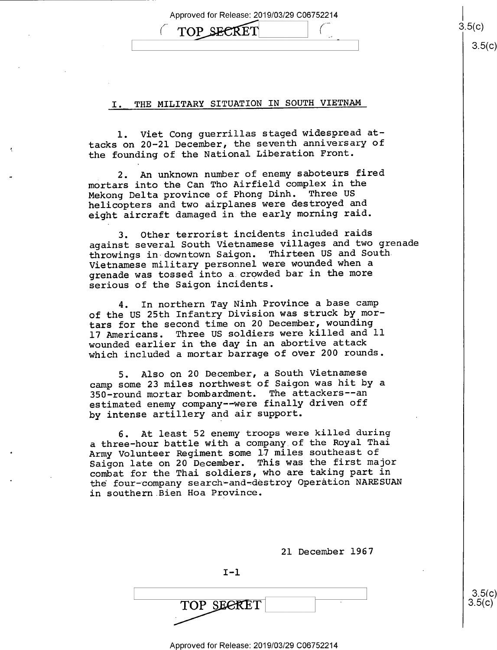\_

TOP SECRET  $\qquad \qquad$   $\qquad \qquad$   $\qquad \qquad$   $\qquad \qquad$   $\qquad \qquad$   $\qquad \qquad$   $\qquad \qquad$   $\qquad \qquad$   $\qquad \qquad$   $\qquad \qquad$   $\qquad \qquad$   $\qquad \qquad$   $\qquad \qquad$   $\qquad \qquad$   $\qquad \qquad$   $\qquad \qquad$   $\qquad \qquad$   $\qquad \qquad$   $\qquad \qquad$   $\qquad \qquad$   $\qquad \qquad$   $\qquad \qquad$   $\qquad \qquad$   $\q$  $3.5(c)$ 

### I. THE MILITARY SITUATION IN SOUTH VIETNAM

1. Viet Cong guerrillas staged widespread attacks on 20-21 December, the seventh anniversary of the founding of the National Liberation Front.

2. An unknown number of enemy saboteurs fired mortars into the Can Tho Airfield complex in the Mekong Delta province of Phong Dinh. Three US helicopters and two airplanes were destroyed and eight aircraft damaged in the early morning raid.

3. Other terrorist incidents included raids against several South Vietnamese villages and two grenade throwings in downtown Saigon. Thirteen US and South Vietnamese military personnel were wounded when a grenade was tossed into a.crowded bar in the more serious of the Saigon incidents.

4. In northern Tay Ninh Province a base camp of the US 25th Infantry Division was struck by mortars for the second time on 20 December, wounding 17 Americans. Three US soldiers were killed and ll wounded earlier in the day in an abortive attack which included a mortar barrage of over 200 rounds.

5. Also on 20 December, a South Vietnamese camp some 23 miles northwest of Saigon was hit by a 350-round mortar bombardment. The attackers-—an estimated enemy company -- were finally driven off by intense artillery and air support.

6. At least 52 enemy troops were killed during a three—hour battle with a company of the Royal Thai Army Volunteer Regiment some 17 miles southeast of Saigon late on 20 December. This was the first major combat for the Thai soldiers, who are taking part in the four-company search~and-destroy Operation NARESUAN in southern Bien Hoa Province.

21 December 1967

 $\sim$  s.5(c)

 $I-1$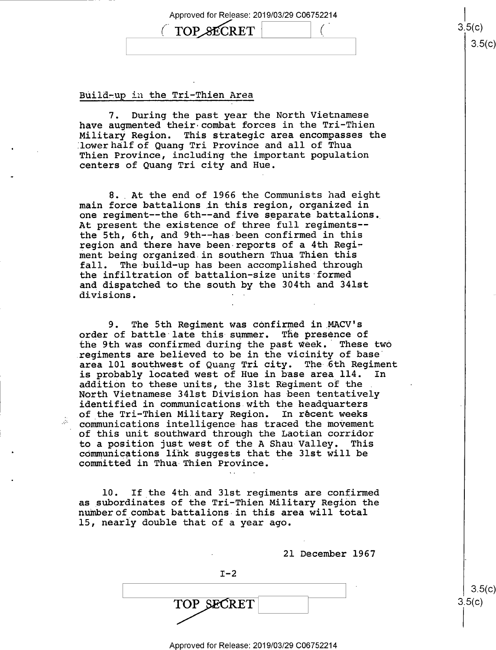#### Build-up in the Tri-Thien Area

7. During the past year the North Vietnamese have augmented their-combat forces in the Tri-Thien Military Region. This strategic area encompasses the lower half of Quang Tri Province and all of Thua Thien Province, including the important population centers of Quang Tri city and Hue.

8. At the end of 1966 the Communists had eight main force battalions in this region, organized in one regiment—-the 6th—-and five separate battalions. At present the existence of three full regiments- the 5th, 6th, and 9th—-has-been confirmed in this region and there have been reports of a 4th Regiment being organized in southern Thua Thien this<br>fall. The build-up has been accomplished through The build-up has been accomplished through the infiltration of battalion—size units formed and dispatched to the south by the 304th and 341st divisions.

9. The 5th Regiment was confirmed in MACV's order of battle late this-summer. The presence of the 9th was confirmed during the past week.' These two regiments are believed to be in the vicinity of base' area 101 southwest of Quang Tri city. The 6th Regiment<br>is probably located west of Hue in base area 114. In is probably located west of Hue in base area 114. addition to these units, the 31st Regiment of the North Vietnamese 341st Division has been tentatively identified in communications with the headquarters of the Tri-Thien Military Region. In récent weeks communications intelligence-has traced the movement of this unit southward through the Laotian corridor to a position just west of the A Shau-Valley. This communications link suggests that the 31st will be committed in Thua Thien Province.

10. If the 4th.and 31st regiments are confirmed as subordinates of the Tri—Thien Military Region the number of combat battalions in this area will total 15, nearly double that of a year ago.

21 December 1967

 $I-2$ 

 $\text{RET}$  3.5(c)

Approved for Release: 2019/03/29 C06752214

 $3.5(c)$ 

 $\text{TOP}\xspace \text{SECTION} \xspace \begin{array}{ccc} 3,5(c) \end{array}$  $3.5(c)$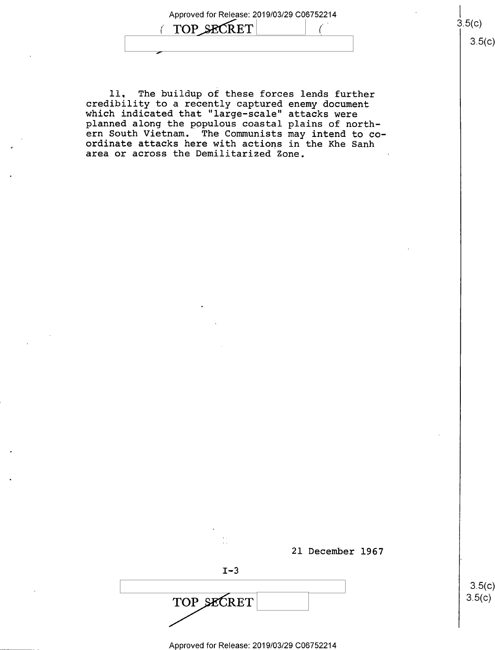TOP SECRET

 $\overline{\phantom{0}}$ 

ll. The buildup of these forces lends further credibility to a recently captured enemy document which indicated that "large-scale" attacks were planned along the populous coastal plains of northern South Vietnam. The Communists may intend to co ordinate attacks here with actions in the Khe Sanh area or across the Demilitarized Zone.

' '

| 21 December 1967 |                      |
|------------------|----------------------|
| $I - 3$          |                      |
| TOP SECRET       | $3.5(c)$<br>$3.5(c)$ |
|                  |                      |

 $3.5(c)$ 

3.5(c)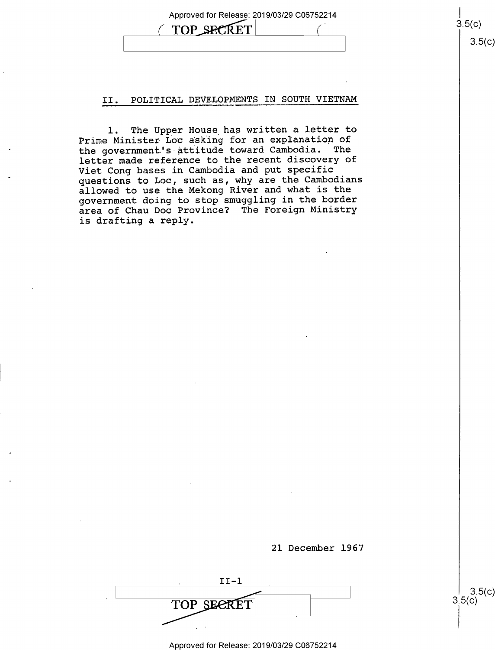Approved for Release: 2019/03/29 C06752214 TOP SECRET

 $3.5(c)$ 

 $3.5(c)$ 

 $3.5(c)$ 

 $3.5(c)$ 

#### II. POLITICAL DEVELOPMENTS IN SOUTH VIETNAM

l. The Upper House has written a letter to Prime Minister Loc asking for an explanation of the government's attitude toward Cambodia. The letter made reference to the recent discovery of Viet Cong bases in Cambodia and put specific questions to Loc, such as, why are the Cambodians allowed to use the Mekong River and what is the government doing to stop smuggling in the border area of Chau Doc Province? The Foreign Ministry is drafting a reply.



. II-1 TOP SEERET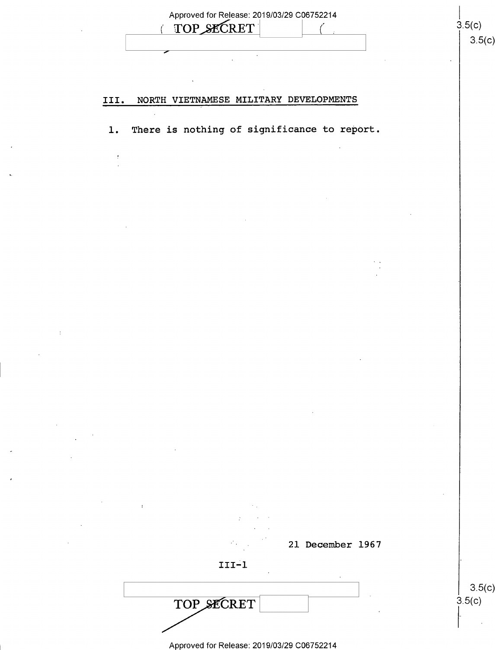|            | TOP SECRET                 |        | Approved for Release: 2019/03/29 C06752214 | 3.5(c)                                                                                                    |        |
|------------|----------------------------|--------|--------------------------------------------|-----------------------------------------------------------------------------------------------------------|--------|
|            |                            |        |                                            |                                                                                                           | 3.5(c) |
|            |                            | $\sim$ |                                            |                                                                                                           |        |
|            |                            |        |                                            |                                                                                                           |        |
| III.       |                            |        |                                            |                                                                                                           |        |
| $\sim 100$ |                            |        |                                            |                                                                                                           |        |
| 1.         |                            |        |                                            |                                                                                                           |        |
|            |                            |        |                                            |                                                                                                           |        |
|            |                            |        |                                            |                                                                                                           |        |
|            |                            |        |                                            |                                                                                                           |        |
|            |                            |        |                                            |                                                                                                           |        |
|            |                            |        |                                            |                                                                                                           |        |
|            |                            |        |                                            |                                                                                                           |        |
|            |                            |        |                                            |                                                                                                           |        |
|            |                            |        |                                            |                                                                                                           |        |
|            |                            |        |                                            |                                                                                                           |        |
|            |                            |        |                                            |                                                                                                           |        |
|            |                            |        |                                            |                                                                                                           |        |
|            |                            |        |                                            |                                                                                                           |        |
|            |                            |        |                                            |                                                                                                           |        |
|            |                            |        |                                            |                                                                                                           |        |
|            |                            |        |                                            |                                                                                                           |        |
|            |                            |        |                                            |                                                                                                           |        |
|            |                            |        |                                            |                                                                                                           |        |
|            |                            |        |                                            |                                                                                                           |        |
|            |                            |        |                                            |                                                                                                           |        |
|            |                            |        |                                            |                                                                                                           |        |
|            |                            |        |                                            |                                                                                                           |        |
|            | $\mathcal{L}_{\text{max}}$ |        |                                            |                                                                                                           |        |
|            | $III-I$                    |        |                                            |                                                                                                           |        |
|            |                            |        |                                            |                                                                                                           |        |
|            |                            |        |                                            | 3.5(c)                                                                                                    |        |
|            |                            |        |                                            | NORTH VIETNAMESE MILITARY DEVELOPMENTS<br>There is nothing of significance to report.<br>21 December 1967 |        |

 $\ddot{\bullet}$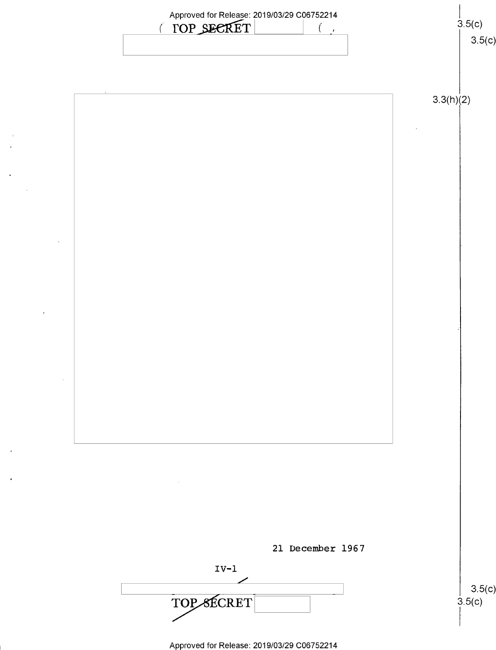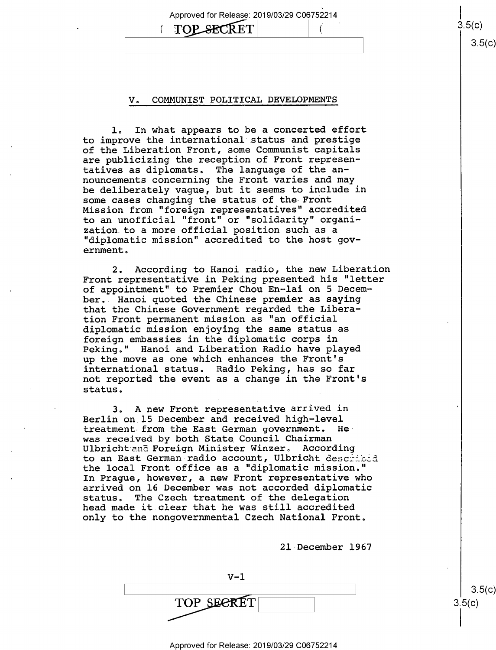#### V. COMMUNIST POLITICAL DEVELOPMENTS

**TOP SECRET** 

(

Approved for Release: 2019/03/29 C06752214

rj

 $3.5(c)$ 

 $3.5(c)$ 

 $3.5(c)$ 

1. In what appears to be a concerted effort to improve the international status and prestige of the Liberation Front, some Communist capitals are publicizing the reception of Front representatives as diplomats. The language of the announcements concerning the Front varies and may be deliberately vague, but it seems to include in some cases changing the status of the Front Mission from "foreign representatives" accredited to an unofficial "front" or "solidarity" organization.to a more official position such as a "diplomatic mission" accredited to the host government.

2. According to Hanoi radio, the new Liberation Front representative in Peking presented his "letter of appointment" to Premier Chou En—lai on 5 December.. Hanoi quoted the Chinese premier as saying that the Chinese Government regarded the Liberation Front permanent mission as "an official diplomatic mission enjoying the same status as foreign embassies in the diplomatic corps in Peking." Hanoi and Liberation Radio have played up the move as one which enhances the Front's international status. Radio Peking, has so far not reported the event as a change in the Front's status.

3. A new Front representative arrived in Berlin on l5 December and received high-level treatment-from the East German government. Hewas received by both State Council Chairman Ulbricht and Foreign Minister Winzer. According to an East German radio account, Ulbricht described the local Front office as a "diplomatic mission." In Prague, however, a new Front representative who arrived on 16 December was not accorded diplomatic status. The Czech treatment of the delegation head made it.clear that he was still accredited only to the nongovernmental Czech National Front.

2l-December 1967

 $V - 1$  $\begin{bmatrix} . & . & . \ . & . & . \ . & . & . \ . & . & . \end{bmatrix}$  (c)  $\text{TOP}$  SECRET 3.5(c)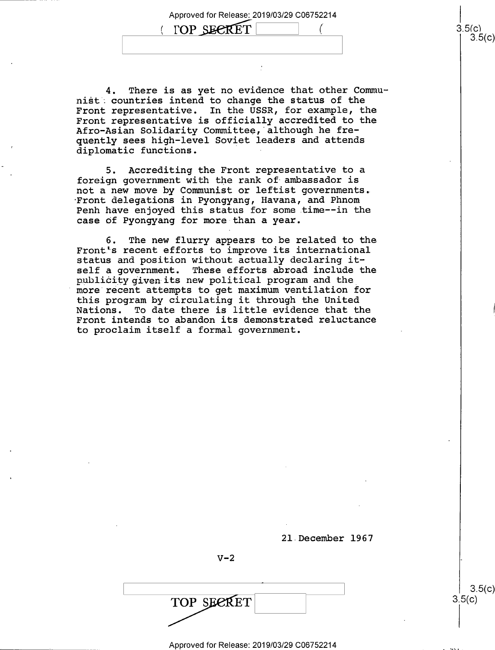Approved for Release: 2019/03/29 C06752214 Approved for Release: 2019/03/29 C06752214<br>
(DP SECRET  $($ 3.5(c)<br>
3.5<br>
3.5



5. Accrediting the Front representative to a foreign government with the rank of ambassador is not a new move by Communist or leftist governments. Front delegations in Pyongyang, Havana, and Phnom Penh have enjoyed this status for some time--in the case of Pyongyang for more than a year.

6. The new flurry appears to be related to the Front's recent efforts to improve its international status and position without actually declaring itself a government. These efforts abroad include the publicity given its new political program and the more recent attempts to get maximum ventilation for this program by circulating it through the United<br>Nations. To date there is little evidence that the To date there is little evidence that the Front intends to abandon its demonstrated reluctance to proclaim itself a formal government.

21 December 1967

 $V-2$ 

TOP SEERET

A

 $\begin{bmatrix} 3.5(c) \\ 3.5(c) \end{bmatrix}$ 

၁.၁(၄)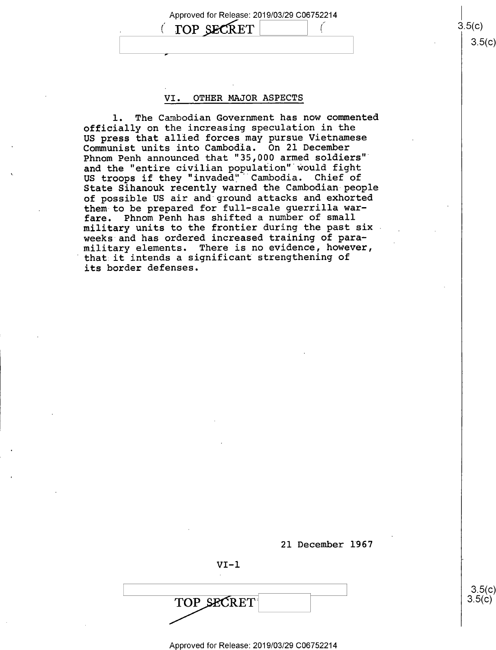Approved for Release: 2019/03/29 C06752214  $\text{TOP}$ , SECRET  $\begin{array}{ccc} 0.5(0) & \text{S.} \end{array}$  $\blacksquare$  . The contract of the contract of the contract of the contract of the contract of the contract of the contract of the contract of the contract of the contract of the contract of the contract of the contract of the

 $3.5(c)$ 

 $3.5(c)$ 

#### VI. OTHER MAJOR ASPECTS

l. The Cambodian Government has now commented officially on the increasing speculation in the US press that allied forces may pursue Vietnamese Communist units into Cambodia. On 21 December Phnom Penh announced that "35,000 armed soldiers" and the "entire civilian population" would fight US troops if they "invaded" Cambodia. Chief of State Sihanouk recently warned the Cambodian-people of possible US air and ground attacks and exhorted them to be prepared for full-scale guerrilla warfare. Phnom Penh has shifted a number of small military units to the frontier during the past six weeks and has ordered increased training of paramilitary elements. There is no evidence, however, that it intends a significant strengthening of its border defenses.

21 December I967

\ s.5(¢)

 $VI-1$ 

TOP SECRET